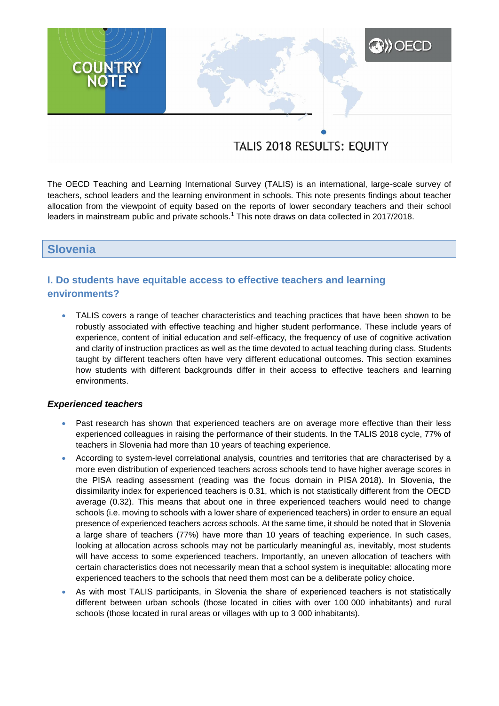# **A) OECD COUNTRY**<br>NOTE

# TALIS 2018 RESULTS: EQUITY

The OECD Teaching and Learning International Survey (TALIS) is an international, large-scale survey of teachers, school leaders and the learning environment in schools. This note presents findings about teacher allocation from the viewpoint of equity based on the reports of lower secondary teachers and their school leaders in mainstream public and private schools.<sup>1</sup> This note draws on data collected in 2017/2018.

# **Slovenia**

# **I. Do students have equitable access to effective teachers and learning environments?**

 TALIS covers a range of teacher characteristics and teaching practices that have been shown to be robustly associated with effective teaching and higher student performance. These include years of experience, content of initial education and self-efficacy, the frequency of use of cognitive activation and clarity of instruction practices as well as the time devoted to actual teaching during class. Students taught by different teachers often have very different educational outcomes. This section examines how students with different backgrounds differ in their access to effective teachers and learning environments.

#### *Experienced teachers*

- Past research has shown that experienced teachers are on average more effective than their less experienced colleagues in raising the performance of their students. In the TALIS 2018 cycle, 77% of teachers in Slovenia had more than 10 years of teaching experience.
- According to system-level correlational analysis, countries and territories that are characterised by a more even distribution of experienced teachers across schools tend to have higher average scores in the PISA reading assessment (reading was the focus domain in PISA 2018). In Slovenia, the dissimilarity index for experienced teachers is 0.31, which is not statistically different from the OECD average (0.32). This means that about one in three experienced teachers would need to change schools (i.e. moving to schools with a lower share of experienced teachers) in order to ensure an equal presence of experienced teachers across schools. At the same time, it should be noted that in Slovenia a large share of teachers (77%) have more than 10 years of teaching experience. In such cases, looking at allocation across schools may not be particularly meaningful as, inevitably, most students will have access to some experienced teachers. Importantly, an uneven allocation of teachers with certain characteristics does not necessarily mean that a school system is inequitable: allocating more experienced teachers to the schools that need them most can be a deliberate policy choice.
- As with most TALIS participants, in Slovenia the share of experienced teachers is not statistically different between urban schools (those located in cities with over 100 000 inhabitants) and rural schools (those located in rural areas or villages with up to 3 000 inhabitants).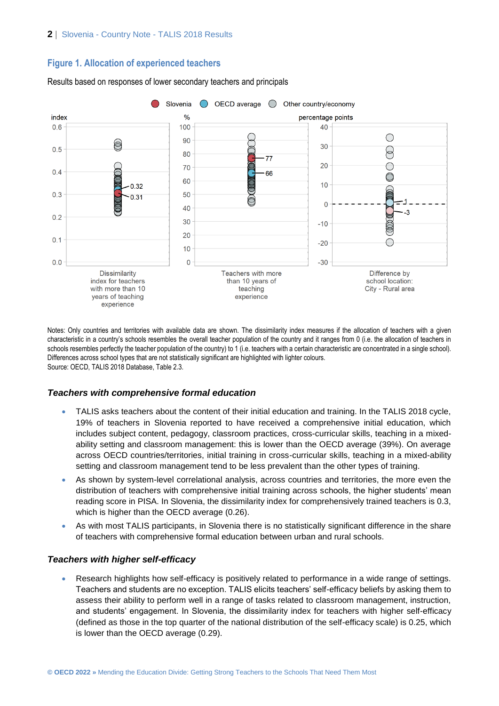# **Figure 1. Allocation of experienced teachers**



#### Results based on responses of lower secondary teachers and principals

Notes: Only countries and territories with available data are shown. The dissimilarity index measures if the allocation of teachers with a given characteristic in a country's schools resembles the overall teacher population of the country and it ranges from 0 (i.e. the allocation of teachers in schools resembles perfectly the teacher population of the country) to 1 (i.e. teachers with a certain characteristic are concentrated in a single school). Differences across school types that are not statistically significant are highlighted with lighter colours. Source: OECD, TALIS 2018 Database, Table 2.3.

# *Teachers with comprehensive formal education*

- TALIS asks teachers about the content of their initial education and training. In the TALIS 2018 cycle, 19% of teachers in Slovenia reported to have received a comprehensive initial education, which includes subject content, pedagogy, classroom practices, cross-curricular skills, teaching in a mixedability setting and classroom management: this is lower than the OECD average (39%). On average across OECD countries/territories, initial training in cross-curricular skills, teaching in a mixed-ability setting and classroom management tend to be less prevalent than the other types of training.
- As shown by system-level correlational analysis, across countries and territories, the more even the distribution of teachers with comprehensive initial training across schools, the higher students' mean reading score in PISA. In Slovenia, the dissimilarity index for comprehensively trained teachers is 0.3, which is higher than the OECD average (0.26).
- As with most TALIS participants, in Slovenia there is no statistically significant difference in the share of teachers with comprehensive formal education between urban and rural schools.

#### *Teachers with higher self-efficacy*

 Research highlights how self-efficacy is positively related to performance in a wide range of settings. Teachers and students are no exception. TALIS elicits teachers' self-efficacy beliefs by asking them to assess their ability to perform well in a range of tasks related to classroom management, instruction, and students' engagement. In Slovenia, the dissimilarity index for teachers with higher self-efficacy (defined as those in the top quarter of the national distribution of the self-efficacy scale) is 0.25, which is lower than the OECD average (0.29).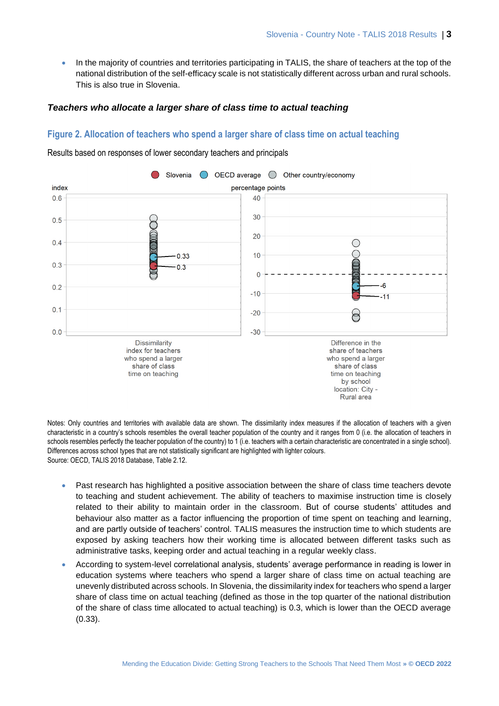In the majority of countries and territories participating in TALIS, the share of teachers at the top of the national distribution of the self-efficacy scale is not statistically different across urban and rural schools. This is also true in Slovenia.

#### *Teachers who allocate a larger share of class time to actual teaching*

# **Figure 2. Allocation of teachers who spend a larger share of class time on actual teaching**



Results based on responses of lower secondary teachers and principals

Notes: Only countries and territories with available data are shown. The dissimilarity index measures if the allocation of teachers with a given characteristic in a country's schools resembles the overall teacher population of the country and it ranges from 0 (i.e. the allocation of teachers in schools resembles perfectly the teacher population of the country) to 1 (i.e. teachers with a certain characteristic are concentrated in a single school). Differences across school types that are not statistically significant are highlighted with lighter colours. Source: OECD, TALIS 2018 Database, Table 2.12.

- Past research has highlighted a positive association between the share of class time teachers devote to teaching and student achievement. The ability of teachers to maximise instruction time is closely related to their ability to maintain order in the classroom. But of course students' attitudes and behaviour also matter as a factor influencing the proportion of time spent on teaching and learning, and are partly outside of teachers' control. TALIS measures the instruction time to which students are exposed by asking teachers how their working time is allocated between different tasks such as administrative tasks, keeping order and actual teaching in a regular weekly class.
- According to system-level correlational analysis, students' average performance in reading is lower in education systems where teachers who spend a larger share of class time on actual teaching are unevenly distributed across schools. In Slovenia, the dissimilarity index for teachers who spend a larger share of class time on actual teaching (defined as those in the top quarter of the national distribution of the share of class time allocated to actual teaching) is 0.3, which is lower than the OECD average (0.33).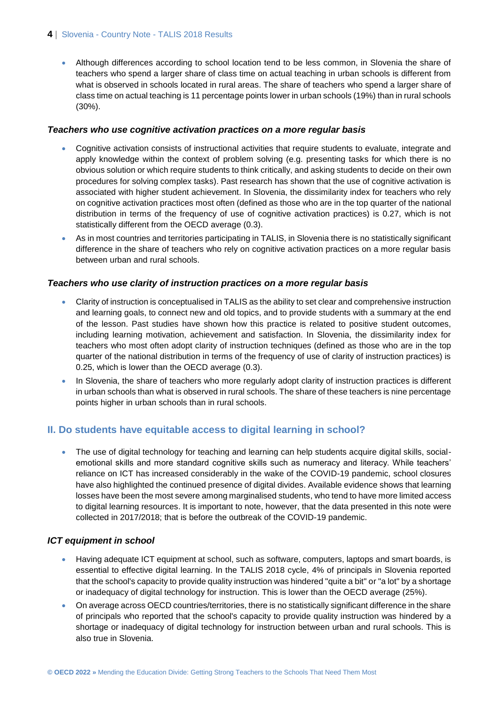#### **4** | Slovenia - Country Note - TALIS 2018 Results

 Although differences according to school location tend to be less common, in Slovenia the share of teachers who spend a larger share of class time on actual teaching in urban schools is different from what is observed in schools located in rural areas. The share of teachers who spend a larger share of class time on actual teaching is 11 percentage points lower in urban schools (19%) than in rural schools (30%).

#### *Teachers who use cognitive activation practices on a more regular basis*

- Cognitive activation consists of instructional activities that require students to evaluate, integrate and apply knowledge within the context of problem solving (e.g. presenting tasks for which there is no obvious solution or which require students to think critically, and asking students to decide on their own procedures for solving complex tasks). Past research has shown that the use of cognitive activation is associated with higher student achievement. In Slovenia, the dissimilarity index for teachers who rely on cognitive activation practices most often (defined as those who are in the top quarter of the national distribution in terms of the frequency of use of cognitive activation practices) is 0.27, which is not statistically different from the OECD average (0.3).
- As in most countries and territories participating in TALIS, in Slovenia there is no statistically significant difference in the share of teachers who rely on cognitive activation practices on a more regular basis between urban and rural schools.

#### *Teachers who use clarity of instruction practices on a more regular basis*

- Clarity of instruction is conceptualised in TALIS as the ability to set clear and comprehensive instruction and learning goals, to connect new and old topics, and to provide students with a summary at the end of the lesson. Past studies have shown how this practice is related to positive student outcomes, including learning motivation, achievement and satisfaction. In Slovenia, the dissimilarity index for teachers who most often adopt clarity of instruction techniques (defined as those who are in the top quarter of the national distribution in terms of the frequency of use of clarity of instruction practices) is 0.25, which is lower than the OECD average (0.3).
- In Slovenia, the share of teachers who more regularly adopt clarity of instruction practices is different in urban schools than what is observed in rural schools. The share of these teachers is nine percentage points higher in urban schools than in rural schools.

# **II. Do students have equitable access to digital learning in school?**

 The use of digital technology for teaching and learning can help students acquire digital skills, socialemotional skills and more standard cognitive skills such as numeracy and literacy. While teachers' reliance on ICT has increased considerably in the wake of the COVID-19 pandemic, school closures have also highlighted the continued presence of digital divides. Available evidence shows that learning losses have been the most severe among marginalised students, who tend to have more limited access to digital learning resources. It is important to note, however, that the data presented in this note were collected in 2017/2018; that is before the outbreak of the COVID-19 pandemic.

#### *ICT equipment in school*

- Having adequate ICT equipment at school, such as software, computers, laptops and smart boards, is essential to effective digital learning. In the TALIS 2018 cycle, 4% of principals in Slovenia reported that the school's capacity to provide quality instruction was hindered "quite a bit" or "a lot" by a shortage or inadequacy of digital technology for instruction. This is lower than the OECD average (25%).
- On average across OECD countries/territories, there is no statistically significant difference in the share of principals who reported that the school's capacity to provide quality instruction was hindered by a shortage or inadequacy of digital technology for instruction between urban and rural schools. This is also true in Slovenia.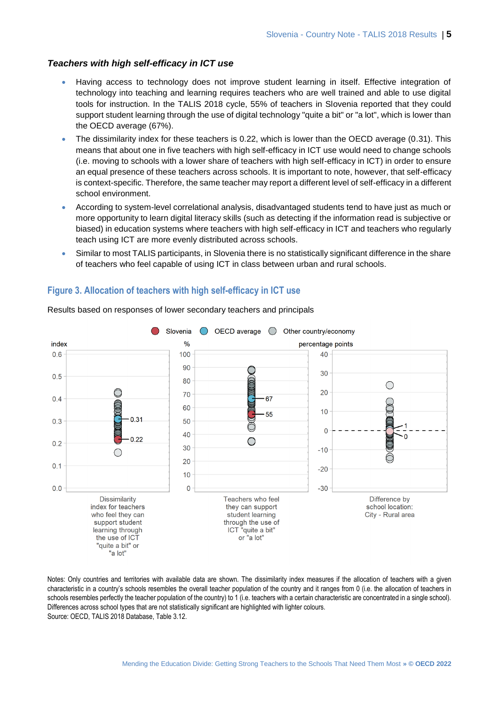#### *Teachers with high self-efficacy in ICT use*

- Having access to technology does not improve student learning in itself. Effective integration of technology into teaching and learning requires teachers who are well trained and able to use digital tools for instruction. In the TALIS 2018 cycle, 55% of teachers in Slovenia reported that they could support student learning through the use of digital technology "quite a bit" or "a lot", which is lower than the OECD average (67%).
- The dissimilarity index for these teachers is 0.22, which is lower than the OECD average (0.31). This means that about one in five teachers with high self-efficacy in ICT use would need to change schools (i.e. moving to schools with a lower share of teachers with high self-efficacy in ICT) in order to ensure an equal presence of these teachers across schools. It is important to note, however, that self-efficacy is context-specific. Therefore, the same teacher may report a different level of self-efficacy in a different school environment.
- According to system-level correlational analysis, disadvantaged students tend to have just as much or more opportunity to learn digital literacy skills (such as detecting if the information read is subjective or biased) in education systems where teachers with high self-efficacy in ICT and teachers who regularly teach using ICT are more evenly distributed across schools.
- Similar to most TALIS participants, in Slovenia there is no statistically significant difference in the share of teachers who feel capable of using ICT in class between urban and rural schools.

# **Figure 3. Allocation of teachers with high self-efficacy in ICT use**



Results based on responses of lower secondary teachers and principals

Notes: Only countries and territories with available data are shown. The dissimilarity index measures if the allocation of teachers with a given characteristic in a country's schools resembles the overall teacher population of the country and it ranges from 0 (i.e. the allocation of teachers in schools resembles perfectly the teacher population of the country) to 1 (i.e. teachers with a certain characteristic are concentrated in a single school). Differences across school types that are not statistically significant are highlighted with lighter colours. Source: OECD, TALIS 2018 Database, Table 3.12.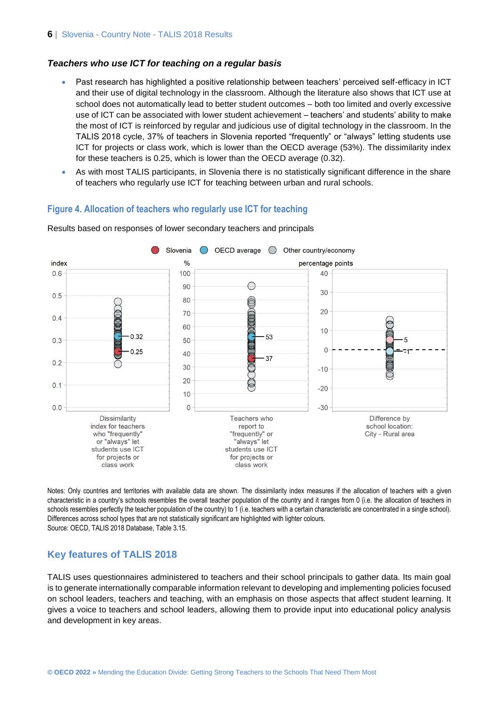#### *Teachers who use ICT for teaching on a regular basis*

- Past research has highlighted a positive relationship between teachers' perceived self-efficacy in ICT and their use of digital technology in the classroom. Although the literature also shows that ICT use at school does not automatically lead to better student outcomes – both too limited and overly excessive use of ICT can be associated with lower student achievement – teachers' and students' ability to make the most of ICT is reinforced by regular and judicious use of digital technology in the classroom. In the TALIS 2018 cycle, 37% of teachers in Slovenia reported "frequently" or "always" letting students use ICT for projects or class work, which is lower than the OECD average (53%). The dissimilarity index for these teachers is 0.25, which is lower than the OECD average (0.32).
- As with most TALIS participants, in Slovenia there is no statistically significant difference in the share of teachers who regularly use ICT for teaching between urban and rural schools.

#### **Figure 4. Allocation of teachers who regularly use ICT for teaching**



Results based on responses of lower secondary teachers and principals

Notes: Only countries and territories with available data are shown. The dissimilarity index measures if the allocation of teachers with a given characteristic in a country's schools resembles the overall teacher population of the country and it ranges from 0 (i.e. the allocation of teachers in schools resembles perfectly the teacher population of the country) to 1 (i.e. teachers with a certain characteristic are concentrated in a single school). Differences across school types that are not statistically significant are highlighted with lighter colours. Source: OECD, TALIS 2018 Database, Table 3.15.

#### **Key features of TALIS 2018**

TALIS uses questionnaires administered to teachers and their school principals to gather data. Its main goal is to generate internationally comparable information relevant to developing and implementing policies focused on school leaders, teachers and teaching, with an emphasis on those aspects that affect student learning. It gives a voice to teachers and school leaders, allowing them to provide input into educational policy analysis and development in key areas.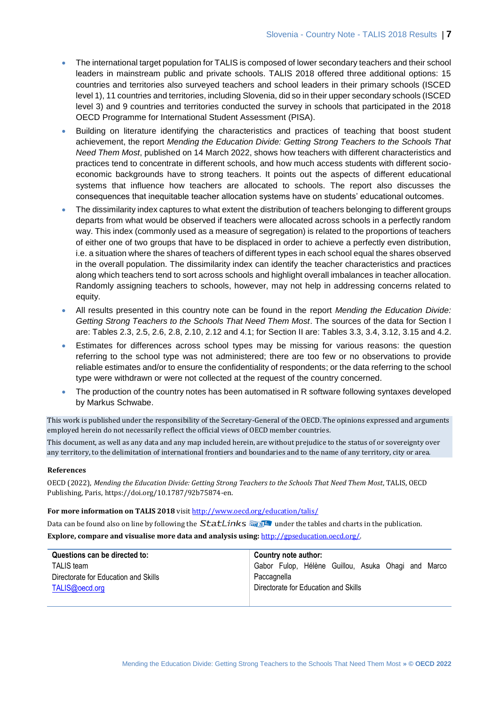- The international target population for TALIS is composed of lower secondary teachers and their school leaders in mainstream public and private schools. TALIS 2018 offered three additional options: 15 countries and territories also surveyed teachers and school leaders in their primary schools (ISCED level 1), 11 countries and territories, including Slovenia, did so in their upper secondary schools (ISCED level 3) and 9 countries and territories conducted the survey in schools that participated in the 2018 OECD Programme for International Student Assessment (PISA).
- Building on literature identifying the characteristics and practices of teaching that boost student achievement, the report *Mending the Education Divide: Getting Strong Teachers to the Schools That Need Them Most*, published on 14 March 2022, shows how teachers with different characteristics and practices tend to concentrate in different schools, and how much access students with different socioeconomic backgrounds have to strong teachers. It points out the aspects of different educational systems that influence how teachers are allocated to schools. The report also discusses the consequences that inequitable teacher allocation systems have on students' educational outcomes.
- The dissimilarity index captures to what extent the distribution of teachers belonging to different groups departs from what would be observed if teachers were allocated across schools in a perfectly random way. This index (commonly used as a measure of segregation) is related to the proportions of teachers of either one of two groups that have to be displaced in order to achieve a perfectly even distribution, i.e. a situation where the shares of teachers of different types in each school equal the shares observed in the overall population. The dissimilarity index can identify the teacher characteristics and practices along which teachers tend to sort across schools and highlight overall imbalances in teacher allocation. Randomly assigning teachers to schools, however, may not help in addressing concerns related to equity.
- All results presented in this country note can be found in the report *Mending the Education Divide: Getting Strong Teachers to the Schools That Need Them Most*. The sources of the data for Section I are: Tables 2.3, 2.5, 2.6, 2.8, 2.10, 2.12 and 4.1; for Section II are: Tables 3.3, 3.4, 3.12, 3.15 and 4.2.
- Estimates for differences across school types may be missing for various reasons: the question referring to the school type was not administered; there are too few or no observations to provide reliable estimates and/or to ensure the confidentiality of respondents; or the data referring to the school type were withdrawn or were not collected at the request of the country concerned.
- The production of the country notes has been automatised in R software following syntaxes developed by Markus Schwabe.

This work is published under the responsibility of the Secretary-General of the OECD. The opinions expressed and arguments employed herein do not necessarily reflect the official views of OECD member countries.

This document, as well as any data and any map included herein, are without prejudice to the status of or sovereignty over any territory, to the delimitation of international frontiers and boundaries and to the name of any territory, city or area.

#### **References**

OECD (2022), *Mending the Education Divide: Getting Strong Teachers to the Schools That Need Them Most*, TALIS, OECD Publishing, Paris, https://doi.org/10.1787/92b75874-en.

#### **For more information on TALIS 2018** visi[t http://www.oecd.org/education/talis/](http://www.oecd.org/education/talis/)

Data can be found also on line by following the  $StatLinks \frac{1}{\sqrt{2}}$  under the tables and charts in the publication.

**Explore, compare and visualise more data and analysis using:** [http://gpseducation.oecd.org/.](http://gpseducation.oecd.org/)

| Questions can be directed to:        | Country note author:                                  |
|--------------------------------------|-------------------------------------------------------|
| <b>TALIS</b> team                    | Gabor Fulop, Hélène Guillou, Asuka Ohagi and<br>Marco |
| Directorate for Education and Skills | Paccagnella                                           |
| TALIS@oecd.org                       | Directorate for Education and Skills                  |
|                                      |                                                       |